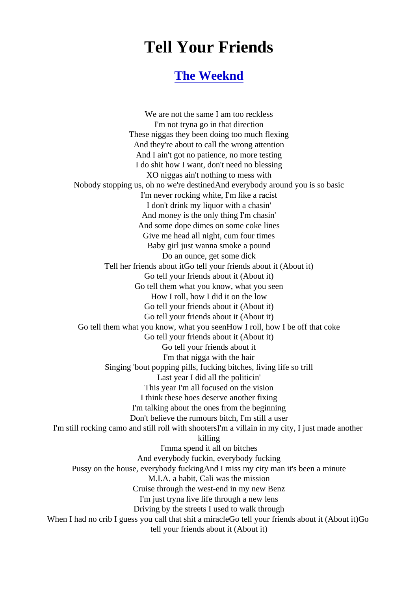## Tell Your Friends

## [The Weeknd](http://www.1songlyrics.com/search.html?q=The+Weeknd)

We are not the same I am too reckless I'm not tryna go in that direction These niggas they been doing too much flexing And they're about to call the wrong attention And I ain't got no patience, no more testing I do shit how I want, don't need no blessing XO niggas ain't nothing to mess with Nobody stopping us, oh no we're destinedAnd everybody around you is so basic I'm never rocking white, I'm like a racist I don't drink my liquor with a chasin' And money is the only thing I'm chasin' And some dope dimes on some coke lines Give me head all night, cum four times Baby girl just wanna smoke a pound Do an ounce, get some dick Tell her friends about itGo tell your friends about it (About it) Go tell your friends about it (About it) Go tell them what you know, what you seen How I roll, how I did it on the low Go tell your friends about it (About it) Go tell your friends about it (About it) Go tell them what you know, what you seenHow I roll, how I be off that coke Go tell your friends about it (About it) Go tell your friends about it I'm that nigga with the hair Singing 'bout popping pills, fucking bitches, living life so trill Last year I did all the politicin' This year I'm all focused on the vision I think these hoes deserve another fixing I'm talking about the ones from the beginning Don't believe the rumours bitch, I'm still a user I'm still rocking camo and still roll with shootersI'm a villain in my city, I just made another killing I'mma spend it all on bitches And everybody fuckin, everybody fucking Pussy on the house, everybody fuckingAnd I miss my city man it's been a minute M.I.A. a habit, Cali was the mission Cruise through the west-end in my new Benz I'm just tryna live life through a new lens Driving by the streets I used to walk through When I had no crib I guess you call that shit a miracleGo tell your friends about it (About tell your friends about it (About it)